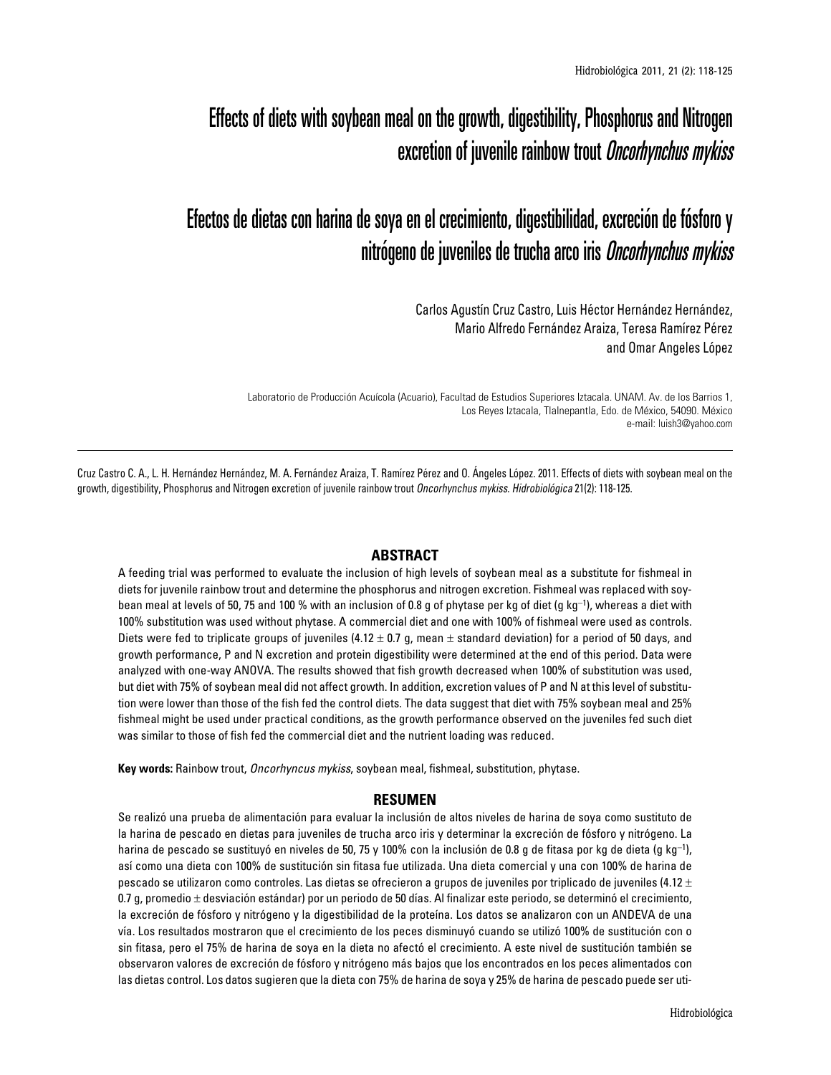# Effects of diets with soybean meal on the growth, digestibility, Phosphorus and Nitrogen excretion of juvenile rainbow trout *Oncorhynchus mykiss*

# Efectos de dietas con harina de soya en el crecimiento, digestibilidad, excreción de fósforo y nitrógeno de juveniles de trucha arco iris Oncorhynchus mykiss

Carlos Agustín Cruz Castro, Luis Héctor Hernández Hernández, Mario Alfredo Fernández Araiza, Teresa Ramírez Pérez and Omar Angeles López

Laboratorio de Producción Acuícola (Acuario), Facultad de Estudios Superiores Iztacala. UNAM. Av. de los Barrios 1, Los Reyes Iztacala, Tlalnepantla, Edo. de México, 54090. México e-mail: luish3@yahoo.com

Cruz Castro C. A., L. H. Hernández Hernández, M. A. Fernández Araiza, T. Ramírez Pérez and O. Ángeles López. 2011. Effects of diets with soybean meal on the growth, digestibility, Phosphorus and Nitrogen excretion of juvenile rainbow trout *Oncorhynchus mykiss*. *Hidrobiológica* 21(2): 118-125.

# **ABSTRACT**

A feeding trial was performed to evaluate the inclusion of high levels of soybean meal as a substitute for fishmeal in diets for juvenile rainbow trout and determine the phosphorus and nitrogen excretion. Fishmeal was replaced with soybean meal at levels of 50, 75 and 100 % with an inclusion of 0.8 g of phytase per kg of diet (g kg<sup>-1</sup>), whereas a diet with 100% substitution was used without phytase. A commercial diet and one with 100% of fishmeal were used as controls. Diets were fed to triplicate groups of juveniles (4.12  $\pm$  0.7 g, mean  $\pm$  standard deviation) for a period of 50 days, and growth performance, P and N excretion and protein digestibility were determined at the end of this period. Data were analyzed with one-way ANOVA. The results showed that fish growth decreased when 100% of substitution was used, but diet with 75% of soybean meal did not affect growth. In addition, excretion values of P and N at this level of substitution were lower than those of the fish fed the control diets. The data suggest that diet with 75% soybean meal and 25% fishmeal might be used under practical conditions, as the growth performance observed on the juveniles fed such diet was similar to those of fish fed the commercial diet and the nutrient loading was reduced.

**Key words:** Rainbow trout, *Oncorhyncus mykiss*, soybean meal, fishmeal, substitution, phytase.

#### **RESUMEN**

Se realizó una prueba de alimentación para evaluar la inclusión de altos niveles de harina de soya como sustituto de la harina de pescado en dietas para juveniles de trucha arco iris y determinar la excreción de fósforo y nitrógeno. La harina de pescado se sustituyó en niveles de 50, 75 y 100% con la inclusión de 0.8 g de fitasa por kg de dieta (g kg-<sup>1</sup> ), así como una dieta con 100% de sustitución sin fitasa fue utilizada. Una dieta comercial y una con 100% de harina de pescado se utilizaron como controles. Las dietas se ofrecieron a grupos de juveniles por triplicado de juveniles (4.12  $\pm$ 0.7 g, promedio  $\pm$  desviación estándar) por un periodo de 50 días. Al finalizar este periodo, se determinó el crecimiento, la excreción de fósforo y nitrógeno y la digestibilidad de la proteína. Los datos se analizaron con un ANDEVA de una vía. Los resultados mostraron que el crecimiento de los peces disminuyó cuando se utilizó 100% de sustitución con o sin fitasa, pero el 75% de harina de soya en la dieta no afectó el crecimiento. A este nivel de sustitución también se observaron valores de excreción de fósforo y nitrógeno más bajos que los encontrados en los peces alimentados con las dietas control. Los datos sugieren que la dieta con 75% de harina de soya y 25% de harina de pescado puede ser uti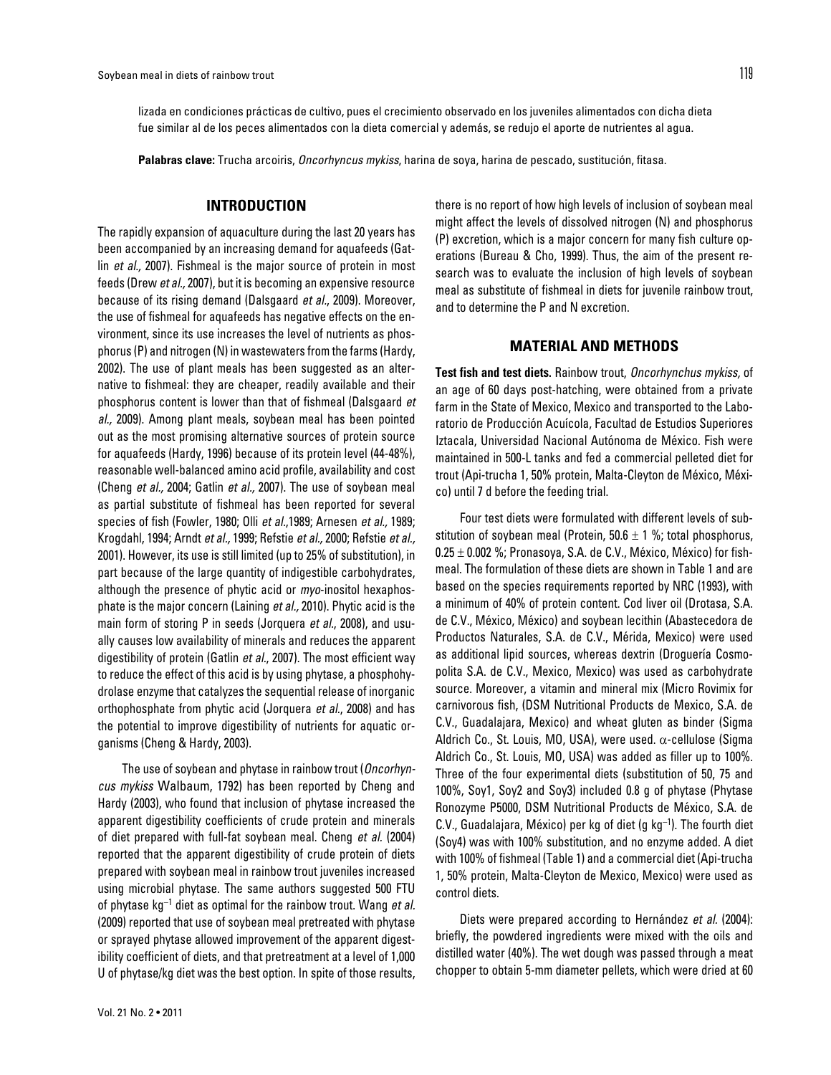lizada en condiciones prácticas de cultivo, pues el crecimiento observado en los juveniles alimentados con dicha dieta fue similar al de los peces alimentados con la dieta comercial y además, se redujo el aporte de nutrientes al agua.

**Palabras clave:** Trucha arcoiris, *Oncorhyncus mykiss*, harina de soya, harina de pescado, sustitución, fitasa.

# **INTRODUCTION**

The rapidly expansion of aquaculture during the last 20 years has been accompanied by an increasing demand for aquafeeds (Gatlin *et al.,* 2007). Fishmeal is the major source of protein in most feeds (Drew *et al.,* 2007), but it is becoming an expensive resource because of its rising demand (Dalsgaard *et al.*, 2009). Moreover, the use of fishmeal for aquafeeds has negative effects on the environment, since its use increases the level of nutrients as phosphorus (P) and nitrogen (N) in wastewaters from the farms (Hardy, 2002). The use of plant meals has been suggested as an alternative to fishmeal: they are cheaper, readily available and their phosphorus content is lower than that of fishmeal (Dalsgaard *et al.,* 2009). Among plant meals, soybean meal has been pointed out as the most promising alternative sources of protein source for aquafeeds (Hardy, 1996) because of its protein level (44-48%), reasonable well-balanced amino acid profile, availability and cost (Cheng *et al.,* 2004; Gatlin *et al.,* 2007). The use of soybean meal as partial substitute of fishmeal has been reported for several species of fish (Fowler, 1980; Olli *et al.*,1989; Arnesen *et al.,* 1989; Krogdahl, 1994; Arndt *et al.,* 1999; Refstie *et al.,* 2000; Refstie *et al.,* 2001). However, its use is still limited (up to 25% of substitution), in part because of the large quantity of indigestible carbohydrates, although the presence of phytic acid or *myo*-inositol hexaphosphate is the major concern (Laining *et al.,* 2010). Phytic acid is the main form of storing P in seeds (Jorquera *et al.*, 2008), and usually causes low availability of minerals and reduces the apparent digestibility of protein (Gatlin *et al.*, 2007). The most efficient way to reduce the effect of this acid is by using phytase, a phosphohydrolase enzyme that catalyzes the sequential release of inorganic orthophosphate from phytic acid (Jorquera *et al.*, 2008) and has the potential to improve digestibility of nutrients for aquatic organisms (Cheng & Hardy, 2003).

The use of soybean and phytase in rainbow trout (*Oncorhyncus mykiss* Walbaum, 1792) has been reported by Cheng and Hardy (2003), who found that inclusion of phytase increased the apparent digestibility coefficients of crude protein and minerals of diet prepared with full-fat soybean meal. Cheng *et al.* (2004) reported that the apparent digestibility of crude protein of diets prepared with soybean meal in rainbow trout juveniles increased using microbial phytase. The same authors suggested 500 FTU of phytase kg-<sup>1</sup> diet as optimal for the rainbow trout. Wang *et al.* (2009) reported that use of soybean meal pretreated with phytase or sprayed phytase allowed improvement of the apparent digestibility coefficient of diets, and that pretreatment at a level of 1,000 U of phytase/kg diet was the best option. In spite of those results,

there is no report of how high levels of inclusion of soybean meal might affect the levels of dissolved nitrogen (N) and phosphorus (P) excretion, which is a major concern for many fish culture operations (Bureau & Cho, 1999). Thus, the aim of the present research was to evaluate the inclusion of high levels of soybean meal as substitute of fishmeal in diets for juvenile rainbow trout, and to determine the P and N excretion.

### **MATERIAL AND METHODS**

**Test fish and test diets.** Rainbow trout, *Oncorhynchus mykiss,* of an age of 60 days post-hatching, were obtained from a private farm in the State of Mexico, Mexico and transported to the Laboratorio de Producción Acuícola, Facultad de Estudios Superiores Iztacala, Universidad Nacional Autónoma de México. Fish were maintained in 500-L tanks and fed a commercial pelleted diet for trout (Api-trucha 1, 50% protein, Malta-Cleyton de México, México) until 7 d before the feeding trial.

Four test diets were formulated with different levels of substitution of soybean meal (Protein,  $50.6 \pm 1$  %; total phosphorus,  $0.25 \pm 0.002$  %; Pronasoya, S.A. de C.V., México, México) for fishmeal. The formulation of these diets are shown in Table 1 and are based on the species requirements reported by NRC (1993), with a minimum of 40% of protein content. Cod liver oil (Drotasa, S.A. de C.V., México, México) and soybean lecithin (Abastecedora de Productos Naturales, S.A. de C.V., Mérida, Mexico) were used as additional lipid sources, whereas dextrin (Droguería Cosmopolita S.A. de C.V., Mexico, Mexico) was used as carbohydrate source. Moreover, a vitamin and mineral mix (Micro Rovimix for carnivorous fish, (DSM Nutritional Products de Mexico, S.A. de C.V., Guadalajara, Mexico) and wheat gluten as binder (Sigma Aldrich Co., St. Louis, MO, USA), were used. α-cellulose (Sigma Aldrich Co., St. Louis, MO, USA) was added as filler up to 100%. Three of the four experimental diets (substitution of 50, 75 and 100%, Soy1, Soy2 and Soy3) included 0.8 g of phytase (Phytase Ronozyme P5000, DSM Nutritional Products de México, S.A. de  $C.V., G$ uadalajara, México) per kg of diet (g kg<sup>-1</sup>). The fourth diet (Soy4) was with 100% substitution, and no enzyme added. A diet with 100% of fishmeal (Table 1) and a commercial diet (Api-trucha 1, 50% protein, Malta-Cleyton de Mexico, Mexico) were used as control diets.

Diets were prepared according to Hernández *et al.* (2004): briefly, the powdered ingredients were mixed with the oils and distilled water (40%). The wet dough was passed through a meat chopper to obtain 5-mm diameter pellets, which were dried at 60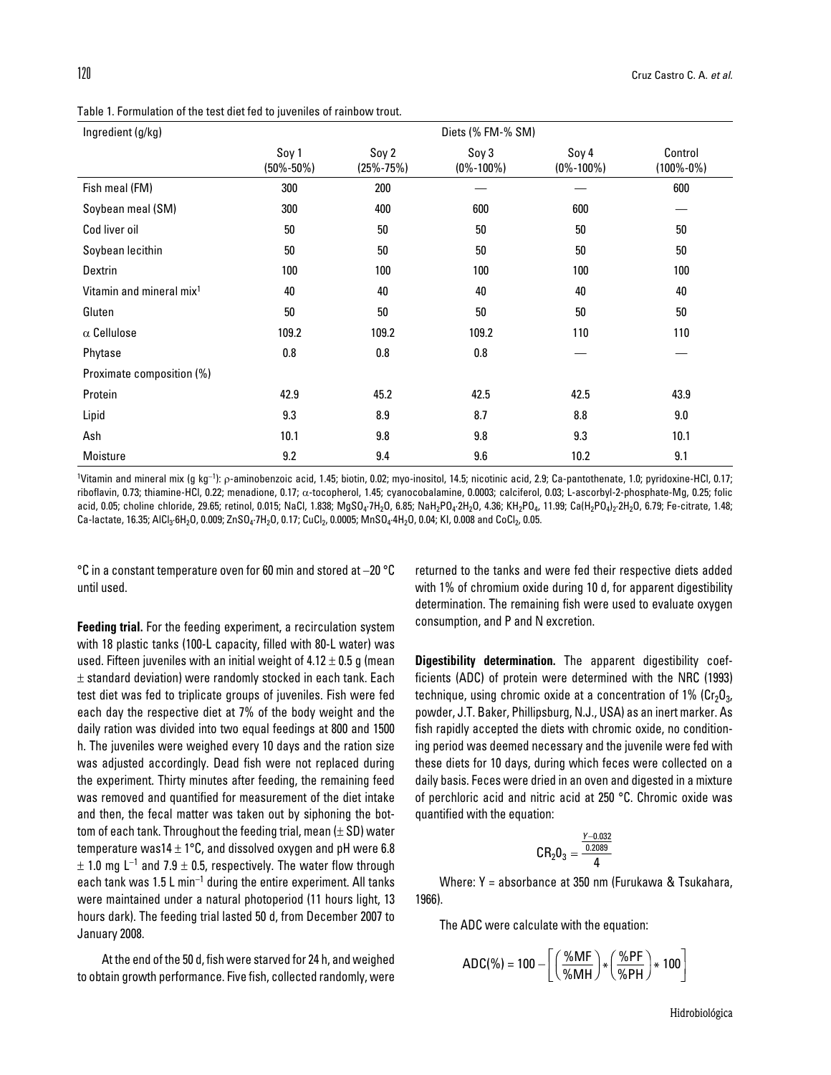Table 1. Formulation of the test diet fed to juveniles of rainbow trout.

| Ingredient (g/kg)                    | Diets (% FM-% SM)        |                          |                          |                          |                            |  |  |
|--------------------------------------|--------------------------|--------------------------|--------------------------|--------------------------|----------------------------|--|--|
|                                      | Soy 1<br>$(50\% - 50\%)$ | Soy 2<br>$(25\% - 75\%)$ | Soy 3<br>$(0\% - 100\%)$ | Soy 4<br>$(0\% - 100\%)$ | Control<br>$(100\% - 0\%)$ |  |  |
| Fish meal (FM)                       | 300                      | 200                      |                          |                          | 600                        |  |  |
| Soybean meal (SM)                    | 300                      | 400                      | 600                      | 600                      |                            |  |  |
| Cod liver oil                        | 50                       | 50                       | 50                       | 50                       | 50                         |  |  |
| Soybean lecithin                     | 50                       | 50                       | 50                       | 50                       | 50                         |  |  |
| Dextrin                              | 100                      | 100                      | 100                      | 100                      | 100                        |  |  |
| Vitamin and mineral mix <sup>1</sup> | 40                       | 40                       | 40                       | 40                       | 40                         |  |  |
| Gluten                               | 50                       | 50                       | 50                       | 50                       | 50                         |  |  |
| $\alpha$ Cellulose                   | 109.2                    | 109.2                    | 109.2                    | 110                      | 110                        |  |  |
| Phytase                              | 0.8                      | 0.8                      | 0.8                      |                          |                            |  |  |
| Proximate composition (%)            |                          |                          |                          |                          |                            |  |  |
| Protein                              | 42.9                     | 45.2                     | 42.5                     | 42.5                     | 43.9                       |  |  |
| Lipid                                | 9.3                      | 8.9                      | 8.7                      | 8.8                      | 9.0                        |  |  |
| Ash                                  | 10.1                     | 9.8                      | 9.8                      | 9.3                      | 10.1                       |  |  |
| Moisture                             | 9.2                      | 9.4                      | 9.6                      | 10.2                     | 9.1                        |  |  |

<sup>1</sup>Vitamin and mineral mix (g kg<sup>-1</sup>): ρ-aminobenzoic acid, 1.45; biotin, 0.02; myo-inositol, 14.5; nicotinic acid, 2.9; Ca-pantothenate, 1.0; pyridoxine-HCl, 0.17; riboflavin, 0.73; thiamine-HCl, 0.22; menadione, 0.17; α-tocopherol, 1.45; cyanocobalamine, 0.0003; calciferol, 0.03; L-ascorbyl-2-phosphate-Mg, 0.25; folic acid, 0.05; choline chloride, 29.65; retinol, 0.015; NaCl, 1.838; MgSO<sub>4</sub>·7H<sub>2</sub>O, 6.85; NaH<sub>2</sub>PO<sub>4</sub>·2H<sub>2</sub>O, 4.36; KH<sub>2</sub>PO<sub>4</sub>, 11.99; Ca(H<sub>2</sub>PO<sub>4</sub>)<sub>2</sub>·2H<sub>2</sub>O, 6.79; Fe-citrate, 1.48; Ca-lactate, 16.35; AICl<sub>3</sub>·6H<sub>2</sub>O, 0.009; ZnSO<sub>4</sub>·7H<sub>2</sub>O, 0.17; CuCl<sub>2</sub>, 0.0005; MnSO<sub>4</sub>·4H<sub>2</sub>O, 0.04; KI, 0.008 and CoCl<sub>2</sub>, 0.05.

 $\degree$ C in a constant temperature oven for 60 min and stored at -20  $\degree$ C until used.

**Feeding trial.** For the feeding experiment, a recirculation system with 18 plastic tanks (100-L capacity, filled with 80-L water) was used. Fifteen juveniles with an initial weight of  $4.12 \pm 0.5$  g (mean  $\pm$  standard deviation) were randomly stocked in each tank. Each test diet was fed to triplicate groups of juveniles. Fish were fed each day the respective diet at 7% of the body weight and the daily ration was divided into two equal feedings at 800 and 1500 h. The juveniles were weighed every 10 days and the ration size was adjusted accordingly. Dead fish were not replaced during the experiment. Thirty minutes after feeding, the remaining feed was removed and quantified for measurement of the diet intake and then, the fecal matter was taken out by siphoning the bottom of each tank. Throughout the feeding trial, mean  $(\pm SD)$  water temperature was14  $\pm$  1°C, and dissolved oxygen and pH were 6.8  $\pm$  1.0 mg L<sup>-1</sup> and 7.9  $\pm$  0.5, respectively. The water flow through each tank was  $1.5 L$  min<sup>-1</sup> during the entire experiment. All tanks were maintained under a natural photoperiod (11 hours light, 13 hours dark). The feeding trial lasted 50 d, from December 2007 to January 2008.

At the end of the 50 d, fish were starved for 24 h, and weighed to obtain growth performance. Five fish, collected randomly, were returned to the tanks and were fed their respective diets added with 1% of chromium oxide during 10 d, for apparent digestibility determination. The remaining fish were used to evaluate oxygen consumption, and P and N excretion.

**Digestibility determination.** The apparent digestibility coefficients (ADC) of protein were determined with the NRC (1993) technique, using chromic oxide at a concentration of 1% ( $Cr_2O_{3}$ , powder, J.T. Baker, Phillipsburg, N.J., USA) as an inert marker. As fish rapidly accepted the diets with chromic oxide, no conditioning period was deemed necessary and the juvenile were fed with these diets for 10 days, during which feces were collected on a daily basis. Feces were dried in an oven and digested in a mixture of perchloric acid and nitric acid at 250 °C. Chromic oxide was quantified with the equation:

$$
CR_20_3=\frac{\frac{\gamma_{-0.032}}{0.2089}}{4}
$$

Where: Y = absorbance at 350 nm (Furukawa & Tsukahara, 1966).

The ADC were calculate with the equation:

$$
ADC(\%) = 100 - \left[ \left( \frac{\%MF}{\%MH} \right) * \left( \frac{\%PF}{\%PH} \right) * 100 \right]
$$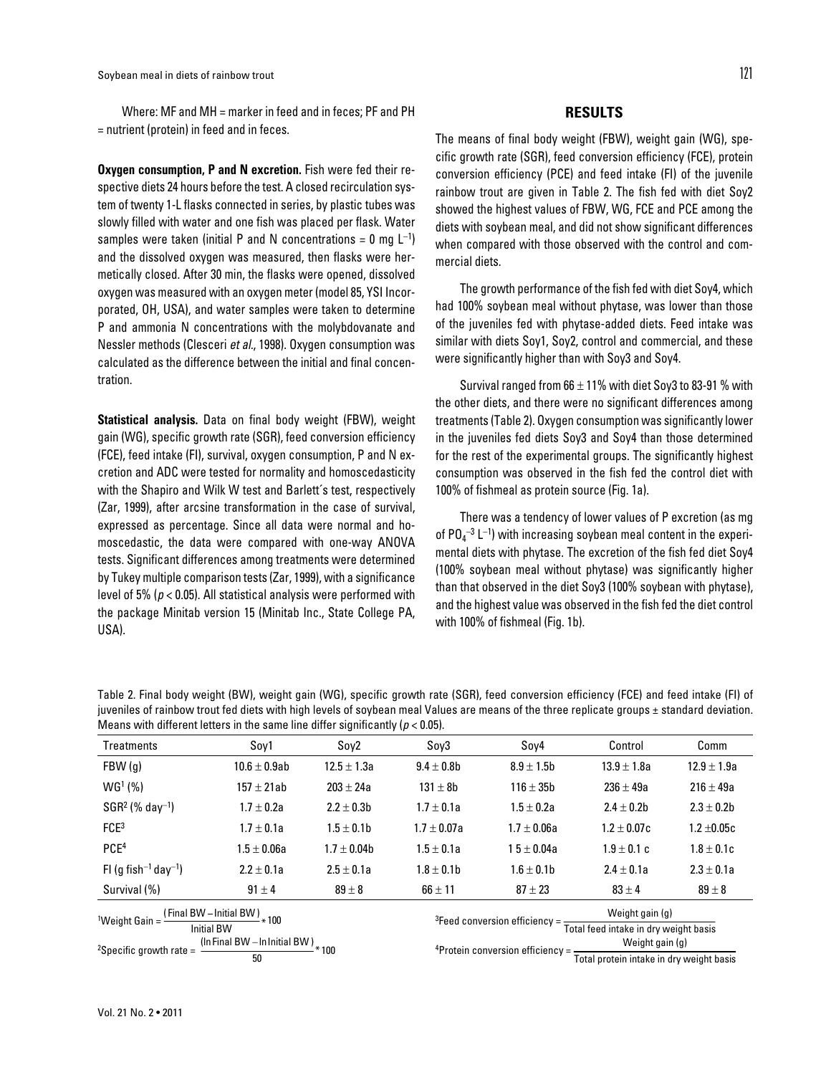Where: MF and MH = marker in feed and in feces; PF and PH = nutrient (protein) in feed and in feces.

**Oxygen consumption, P and N excretion.** Fish were fed their respective diets 24 hours before the test. A closed recirculation system of twenty 1-L flasks connected in series, by plastic tubes was slowly filled with water and one fish was placed per flask. Water samples were taken (initial P and N concentrations = 0 mg  $\mathsf{L}^{-1}\mathsf{)}$ and the dissolved oxygen was measured, then flasks were hermetically closed. After 30 min, the flasks were opened, dissolved oxygen was measured with an oxygen meter (model 85, YSI Incorporated, OH, USA), and water samples were taken to determine P and ammonia N concentrations with the molybdovanate and Nessler methods (Clesceri *et al.*, 1998). Oxygen consumption was calculated as the difference between the initial and final concentration.

**Statistical analysis.** Data on final body weight (FBW), weight gain (WG), specific growth rate (SGR), feed conversion efficiency (FCE), feed intake (FI), survival, oxygen consumption, P and N excretion and ADC were tested for normality and homoscedasticity with the Shapiro and Wilk W test and Barlett´s test, respectively (Zar, 1999), after arcsine transformation in the case of survival, expressed as percentage. Since all data were normal and homoscedastic, the data were compared with one-way ANOVA tests. Significant differences among treatments were determined by Tukey multiple comparison tests (Zar, 1999), with a significance level of 5% (*p* < 0.05). All statistical analysis were performed with the package Minitab version 15 (Minitab Inc., State College PA, USA).

### **RESULTS**

The means of final body weight (FBW), weight gain (WG), specific growth rate (SGR), feed conversion efficiency (FCE), protein conversion efficiency (PCE) and feed intake (FI) of the juvenile rainbow trout are given in Table 2. The fish fed with diet Soy2 showed the highest values of FBW, WG, FCE and PCE among the diets with soybean meal, and did not show significant differences when compared with those observed with the control and commercial diets.

The growth performance of the fish fed with diet Soy4, which had 100% soybean meal without phytase, was lower than those of the juveniles fed with phytase-added diets. Feed intake was similar with diets Soy1, Soy2, control and commercial, and these were significantly higher than with Soy3 and Soy4.

Survival ranged from  $66 \pm 11\%$  with diet Soy3 to 83-91 % with the other diets, and there were no significant differences among treatments (Table 2). Oxygen consumption was significantly lower in the juveniles fed diets Soy3 and Soy4 than those determined for the rest of the experimental groups. The significantly highest consumption was observed in the fish fed the control diet with 100% of fishmeal as protein source (Fig. 1a).

There was a tendency of lower values of P excretion (as mg of PO $_4^{-3}$  L $^{-1}$ ) with increasing soybean meal content in the experimental diets with phytase. The excretion of the fish fed diet Soy4 (100% soybean meal without phytase) was significantly higher than that observed in the diet Soy3 (100% soybean with phytase), and the highest value was observed in the fish fed the diet control with 100% of fishmeal (Fig. 1b).

Table 2. Final body weight (BW), weight gain (WG), specific growth rate (SGR), feed conversion efficiency (FCE) and feed intake (FI) of juveniles of rainbow trout fed diets with high levels of soybean meal Values are means of the three replicate groups ± standard deviation. Means with different letters in the same line differ significantly ( $p < 0.05$ ).

| <b>Treatments</b>                                                                  | Soy1              | Soy2                                                                                           | Sov3                                                                                            | Soy4            | Control         | Comm            |
|------------------------------------------------------------------------------------|-------------------|------------------------------------------------------------------------------------------------|-------------------------------------------------------------------------------------------------|-----------------|-----------------|-----------------|
| FBW(g)                                                                             | $10.6 \pm 0.9$ ab | $12.5 \pm 1.3a$                                                                                | $9.4 \pm 0.8$ b                                                                                 | $8.9 \pm 1.5b$  | $13.9 \pm 1.8a$ | $12.9 \pm 1.9a$ |
| WG <sup>1</sup> (%)                                                                | $157 \pm 21ab$    | $203 \pm 24a$                                                                                  | $131 \pm 8b$                                                                                    | $116 \pm 35b$   | $236 \pm 49a$   | $216 \pm 49a$   |
| $SGR2$ (% day <sup>-1</sup> )                                                      | $1.7 \pm 0.2a$    | $2.2 \pm 0.3$ b                                                                                | $1.7 \pm 0.1a$                                                                                  | $1.5 \pm 0.2a$  | $2.4 \pm 0.2$   | $2.3 \pm 0.2b$  |
| FCE <sup>3</sup>                                                                   | $1.7 \pm 0.1a$    | $1.5 \pm 0.1$ b                                                                                | $1.7 \pm 0.07a$                                                                                 | $1.7 \pm 0.06a$ | $1.2 \pm 0.07c$ | $1.2 \pm 0.05c$ |
| PCE <sup>4</sup>                                                                   | $1.5 \pm 0.06a$   | $1.7 \pm 0.04$ b                                                                               | $1.5 \pm 0.1a$                                                                                  | $15 \pm 0.04a$  | $1.9 \pm 0.1$ c | $1.8 \pm 0.1c$  |
| FI (g fish <sup>-1</sup> day <sup>-1</sup> )                                       | $2.2 \pm 0.1a$    | $2.5 \pm 0.1a$                                                                                 | $1.8 \pm 0.1$ b                                                                                 | $1.6 \pm 0.1$   | $2.4 \pm 0.1a$  | $2.3 \pm 0.1a$  |
| Survival (%)                                                                       | $91 \pm 4$        | $89 \pm 8$                                                                                     | $66 \pm 11$                                                                                     | $87 \pm 23$     | $83 \pm 4$      | $89 \pm 8$      |
| <sup>1</sup> Weight Gain = $\frac{$ (Final BW - Initial BW) $*$ 100                |                   | ${}^{3}$ Feed conversion efficiency = $\frac{1}{\text{Total feed intake in dry weight basis}}$ |                                                                                                 | Weight gain (g) |                 |                 |
| <b>Initial BW</b>                                                                  |                   |                                                                                                |                                                                                                 |                 |                 |                 |
| (In Final BW – In Initial BW) $*$ 100<br><sup>2</sup> Specific growth rate =<br>50 |                   |                                                                                                | $4$ Protein conversion efficiency = $\frac{1}{\text{Total protein intake in dry weight basis}}$ |                 | Weight gain (g) |                 |
|                                                                                    |                   |                                                                                                |                                                                                                 |                 |                 |                 |
|                                                                                    |                   |                                                                                                |                                                                                                 |                 |                 |                 |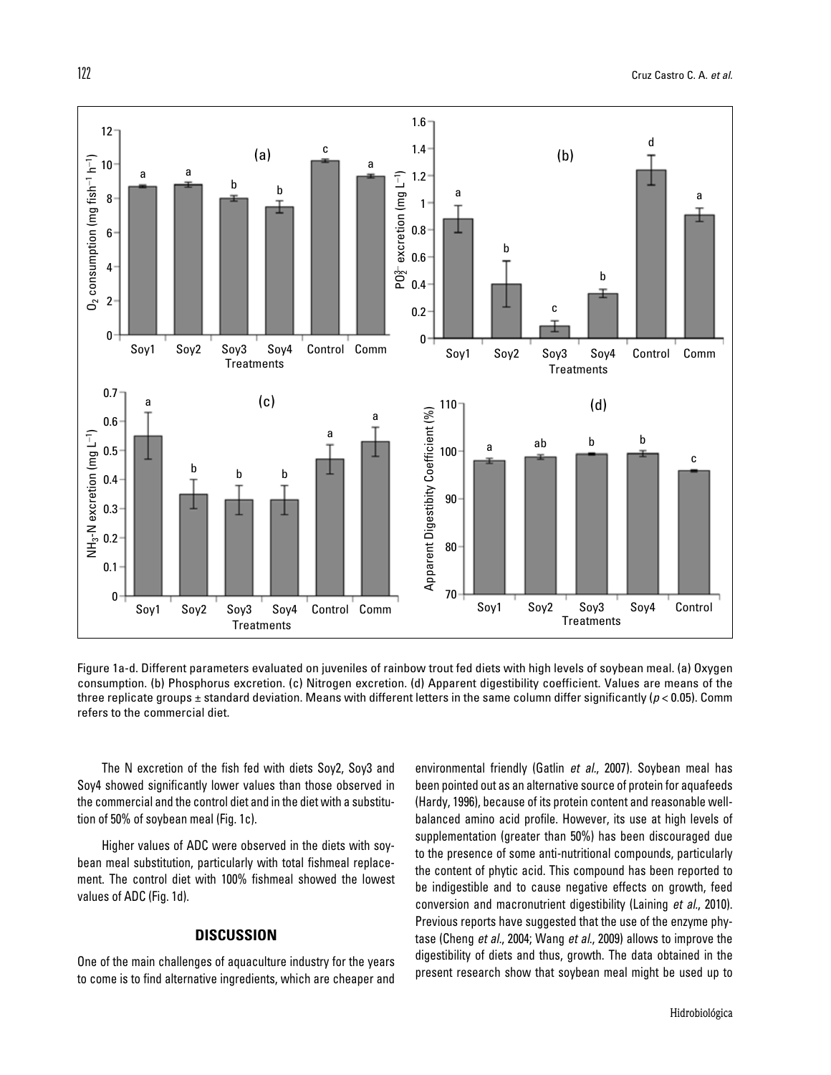

Figure 1a-d. Different parameters evaluated on juveniles of rainbow trout fed diets with high levels of soybean meal. (a) Oxygen consumption. (b) Phosphorus excretion. (c) Nitrogen excretion. (d) Apparent digestibility coefficient. Values are means of the three replicate groups  $\pm$  standard deviation. Means with different letters in the same column differ significantly ( $p$  < 0.05). Comm refers to the commercial diet.

The N excretion of the fish fed with diets Soy2, Soy3 and Soy4 showed significantly lower values than those observed in the commercial and the control diet and in the diet with a substitution of 50% of soybean meal (Fig. 1c).

Higher values of ADC were observed in the diets with soybean meal substitution, particularly with total fishmeal replacement. The control diet with 100% fishmeal showed the lowest values of ADC (Fig. 1d).

# **DISCUSSION**

One of the main challenges of aquaculture industry for the years to come is to find alternative ingredients, which are cheaper and environmental friendly (Gatlin *et al.*, 2007). Soybean meal has been pointed out as an alternative source of protein for aquafeeds (Hardy, 1996), because of its protein content and reasonable wellbalanced amino acid profile. However, its use at high levels of supplementation (greater than 50%) has been discouraged due to the presence of some anti-nutritional compounds, particularly the content of phytic acid. This compound has been reported to be indigestible and to cause negative effects on growth, feed conversion and macronutrient digestibility (Laining *et al.*, 2010). Previous reports have suggested that the use of the enzyme phytase (Cheng *et al.*, 2004; Wang *et al*., 2009) allows to improve the digestibility of diets and thus, growth. The data obtained in the present research show that soybean meal might be used up to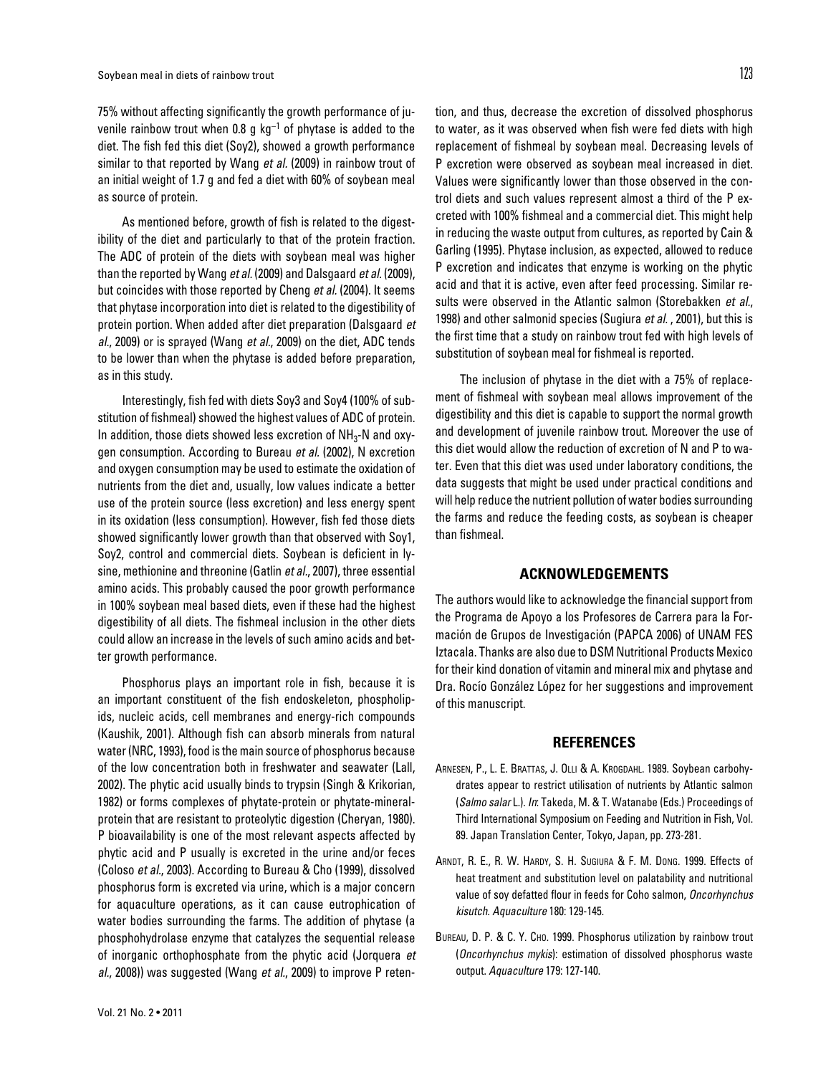75% without affecting significantly the growth performance of juvenile rainbow trout when 0.8 g  $kq^{-1}$  of phytase is added to the diet. The fish fed this diet (Soy2), showed a growth performance similar to that reported by Wang *et al.* (2009) in rainbow trout of an initial weight of 1.7 g and fed a diet with 60% of soybean meal as source of protein.

As mentioned before, growth of fish is related to the digestibility of the diet and particularly to that of the protein fraction. The ADC of protein of the diets with soybean meal was higher than the reported by Wang *et al.* (2009) and Dalsgaard *et al.* (2009), but coincides with those reported by Cheng *et al.* (2004). It seems that phytase incorporation into diet is related to the digestibility of protein portion. When added after diet preparation (Dalsgaard *et al.*, 2009) or is sprayed (Wang *et al.*, 2009) on the diet, ADC tends to be lower than when the phytase is added before preparation, as in this study.

Interestingly, fish fed with diets Soy3 and Soy4 (100% of substitution of fishmeal) showed the highest values of ADC of protein. In addition, those diets showed less excretion of  $NH<sub>3</sub>$ -N and oxygen consumption. According to Bureau *et al.* (2002), N excretion and oxygen consumption may be used to estimate the oxidation of nutrients from the diet and, usually, low values indicate a better use of the protein source (less excretion) and less energy spent in its oxidation (less consumption). However, fish fed those diets showed significantly lower growth than that observed with Soy1, Soy2, control and commercial diets. Soybean is deficient in lysine, methionine and threonine (Gatlin *et al.*, 2007), three essential amino acids. This probably caused the poor growth performance in 100% soybean meal based diets, even if these had the highest digestibility of all diets. The fishmeal inclusion in the other diets could allow an increase in the levels of such amino acids and better growth performance.

Phosphorus plays an important role in fish, because it is an important constituent of the fish endoskeleton, phospholipids, nucleic acids, cell membranes and energy-rich compounds (Kaushik, 2001). Although fish can absorb minerals from natural water (NRC, 1993), food is the main source of phosphorus because of the low concentration both in freshwater and seawater (Lall, 2002). The phytic acid usually binds to trypsin (Singh & Krikorian, 1982) or forms complexes of phytate-protein or phytate-mineralprotein that are resistant to proteolytic digestion (Cheryan, 1980). P bioavailability is one of the most relevant aspects affected by phytic acid and P usually is excreted in the urine and/or feces (Coloso *et al.*, 2003). According to Bureau & Cho (1999), dissolved phosphorus form is excreted via urine, which is a major concern for aquaculture operations, as it can cause eutrophication of water bodies surrounding the farms. The addition of phytase (a phosphohydrolase enzyme that catalyzes the sequential release of inorganic orthophosphate from the phytic acid (Jorquera *et al.*, 2008)) was suggested (Wang *et al.*, 2009) to improve P retention, and thus, decrease the excretion of dissolved phosphorus to water, as it was observed when fish were fed diets with high replacement of fishmeal by soybean meal. Decreasing levels of P excretion were observed as soybean meal increased in diet. Values were significantly lower than those observed in the control diets and such values represent almost a third of the P excreted with 100% fishmeal and a commercial diet. This might help in reducing the waste output from cultures, as reported by Cain & Garling (1995). Phytase inclusion, as expected, allowed to reduce P excretion and indicates that enzyme is working on the phytic acid and that it is active, even after feed processing. Similar results were observed in the Atlantic salmon (Storebakken *et al.*, 1998) and other salmonid species (Sugiura *et al.* , 2001), but this is the first time that a study on rainbow trout fed with high levels of substitution of soybean meal for fishmeal is reported.

The inclusion of phytase in the diet with a 75% of replacement of fishmeal with soybean meal allows improvement of the digestibility and this diet is capable to support the normal growth and development of juvenile rainbow trout. Moreover the use of this diet would allow the reduction of excretion of N and P to water. Even that this diet was used under laboratory conditions, the data suggests that might be used under practical conditions and will help reduce the nutrient pollution of water bodies surrounding the farms and reduce the feeding costs, as soybean is cheaper than fishmeal.

### **ACKNOWLEDGEMENTS**

The authors would like to acknowledge the financial support from the Programa de Apoyo a los Profesores de Carrera para la Formación de Grupos de Investigación (PAPCA 2006) of UNAM FES Iztacala. Thanks are also due to DSM Nutritional Products Mexico for their kind donation of vitamin and mineral mix and phytase and Dra. Rocío González López for her suggestions and improvement of this manuscript.

#### **REFERENCES**

- Arnesen, P., L. E. Brattas, J. Olli & A. Krogdahl. 1989. Soybean carbohydrates appear to restrict utilisation of nutrients by Atlantic salmon (*Salmo salar* L.). *In*: Takeda, M. & T. Watanabe (Eds.) Proceedings of Third International Symposium on Feeding and Nutrition in Fish, Vol. 89. Japan Translation Center, Tokyo, Japan, pp. 273-281.
- Arndt, R. E., R. W. Hardy, S. H. Sugiura & F. M. Dong. 1999. Effects of heat treatment and substitution level on palatability and nutritional value of soy defatted flour in feeds for Coho salmon, *Oncorhynchus kisutch*. *Aquaculture* 180: 129-145.
- Bureau, D. P. & C. Y. Cho. 1999. Phosphorus utilization by rainbow trout (*Oncorhynchus mykis*): estimation of dissolved phosphorus waste output. *Aquaculture* 179: 127-140.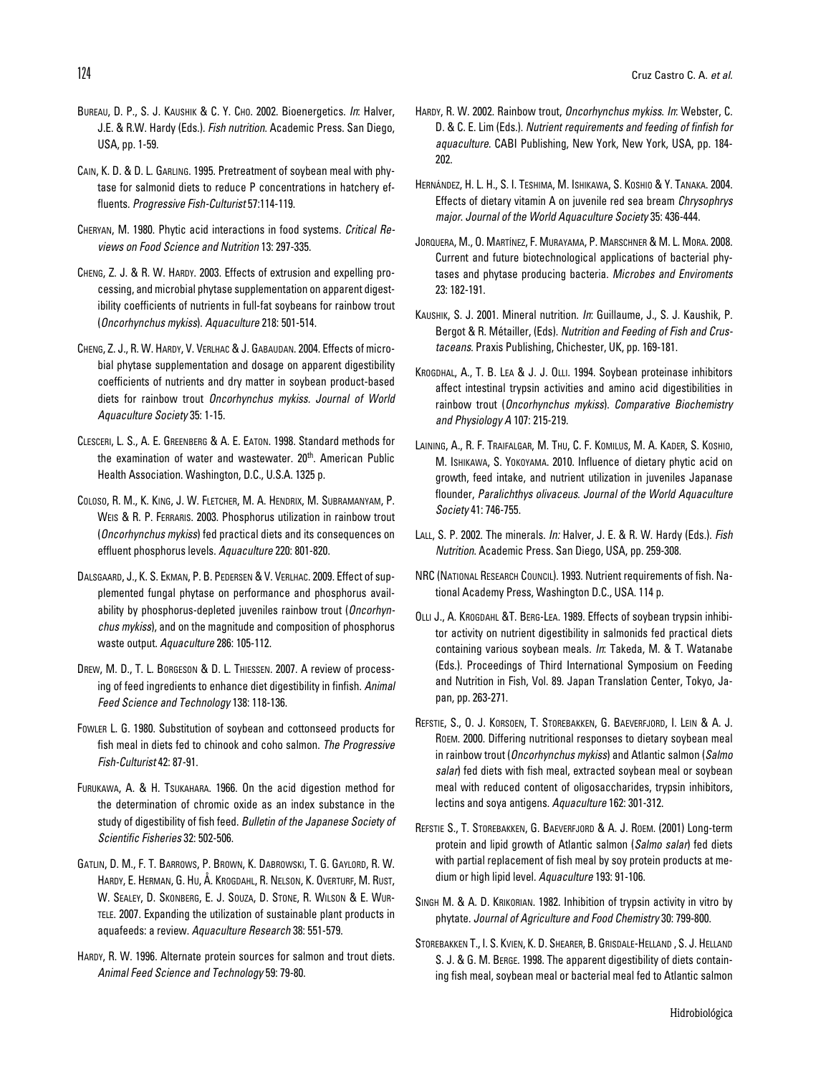- Bureau, D. P., S. J. Kaushik & C. Y. Cho. 2002. Bioenergetics. *In*: Halver, J.E. & R.W. Hardy (Eds.). *Fish nutrition*. Academic Press. San Diego, USA, pp. 1-59.
- Cain, K. D. & D. L. Garling. 1995. Pretreatment of soybean meal with phytase for salmonid diets to reduce P concentrations in hatchery effluents. *Progressive Fish-Culturist* 57:114-119.
- Cheryan, M. 1980. Phytic acid interactions in food systems. *Critical Reviews on Food Science and Nutrition* 13: 297-335.
- CHENG, Z. J. & R. W. HARDY, 2003. Effects of extrusion and expelling processing, and microbial phytase supplementation on apparent digestibility coefficients of nutrients in full-fat soybeans for rainbow trout (*Oncorhynchus mykiss*). *Aquaculture* 218: 501-514.
- Cheng, Z. J., R. W. Hardy, V. Verlhac & J. Gabaudan. 2004. Effects of microbial phytase supplementation and dosage on apparent digestibility coefficients of nutrients and dry matter in soybean product-based diets for rainbow trout *Oncorhynchus mykiss. Journal of World Aquaculture Society* 35: 1-15.
- Clesceri, L. S., A. E. Greenberg & A. E. Eaton. 1998. Standard methods for the examination of water and wastewater. 20<sup>th</sup>. American Public Health Association. Washington, D.C., U.S.A. 1325 p.
- Coloso, R. M., K. King, J. W. Fletcher, M. A. Hendrix, M. Subramanyam, P. Weis & R. P. Ferraris. 2003. Phosphorus utilization in rainbow trout (*Oncorhynchus mykiss*) fed practical diets and its consequences on effluent phosphorus levels. *Aquaculture* 220: 801-820.
- Dalsgaard, J., K. S. Ekman, P. B. Pedersen & V. Verlhac. 2009. Effect of supplemented fungal phytase on performance and phosphorus availability by phosphorus-depleted juveniles rainbow trout (*Oncorhynchus mykiss*), and on the magnitude and composition of phosphorus waste output. *Aquaculture* 286: 105-112.
- Drew, M. D., T. L. Borgeson & D. L. Thiessen. 2007. A review of processing of feed ingredients to enhance diet digestibility in finfish. *Animal Feed Science and Technology* 138: 118-136.
- Fowler L. G. 1980. Substitution of soybean and cottonseed products for fish meal in diets fed to chinook and coho salmon. *The Progressive Fish-Culturist* 42: 87-91.
- Furukawa, A. & H. Tsukahara. 1966. On the acid digestion method for the determination of chromic oxide as an index substance in the study of digestibility of fish feed. *Bulletin of the Japanese Society of Scientific Fisheries* 32: 502-506.
- Gatlin, D. M., F. T. Barrows, P. Brown, K. Dabrowski, T. G. Gaylord, R. W. Hardy, E. Herman, G. Hu, Å. Krogdahl, R. Nelson, K. Overturf, M. Rust, W. Sealey, D. Skonberg, E. J. Souza, D. Stone, R. Wilson & E. Wurtele. 2007. Expanding the utilization of sustainable plant products in aquafeeds: a review. *Aquaculture Research* 38: 551-579.
- HARDY, R. W. 1996. Alternate protein sources for salmon and trout diets. *Animal Feed Science and Technology* 59: 79-80.
- Hardy, R. W. 2002. Rainbow trout, *Oncorhynchus mykiss*. *In*: Webster, C. D. & C. E. Lim (Eds.). *Nutrient requirements and feeding of finfish for aquaculture*. CABI Publishing, New York, New York, USA, pp. 184- 202.
- Hernández, H. L. H., S. I. Teshima, M. Ishikawa, S. Koshio & Y. Tanaka. 2004. Effects of dietary vitamin A on juvenile red sea bream *Chrysophrys major*. *Journal of the World Aquaculture Society* 35: 436-444.
- JORQUERA, M., O. MARTÍNEZ, F. MURAYAMA, P. MARSCHNER & M. L. MORA. 2008. Current and future biotechnological applications of bacterial phytases and phytase producing bacteria. *Microbes and Enviroments* 23: 182-191.
- Kaushik, S. J. 2001. Mineral nutrition. *In*: Guillaume, J., S. J. Kaushik, P. Bergot & R. Métailler, (Eds). *Nutrition and Feeding of Fish and Crustaceans*. Praxis Publishing, Chichester, UK, pp. 169-181.
- Krogdhal, A., T. B. Lea & J. J. Olli. 1994. Soybean proteinase inhibitors affect intestinal trypsin activities and amino acid digestibilities in rainbow trout (*Oncorhynchus mykiss*). *Comparative Biochemistry and Physiology A* 107: 215-219.
- Laining, A., R. F. Traifalgar, M. Thu, C. F. Komilus, M. A. Kader, S. Koshio, M. Ishikawa, S. Yokoyama. 2010. Influence of dietary phytic acid on growth, feed intake, and nutrient utilization in juveniles Japanase flounder, *Paralichthys olivaceus*. *Journal of the World Aquaculture Society* 41: 746-755.
- Lall, S. P. 2002. The minerals. *In:* Halver, J. E. & R. W. Hardy (Eds.). *Fish Nutrition*. Academic Press. San Diego, USA, pp. 259-308.
- NRC (National Research Council). 1993. Nutrient requirements of fish. National Academy Press, Washington D.C., USA. 114 p.
- Olli J., A. Krogdahl &T. Berg-Lea. 1989. Effects of soybean trypsin inhibitor activity on nutrient digestibility in salmonids fed practical diets containing various soybean meals. *In*: Takeda, M. & T. Watanabe (Eds.). Proceedings of Third International Symposium on Feeding and Nutrition in Fish, Vol. 89. Japan Translation Center, Tokyo, Japan, pp. 263-271.
- Refstie, S., O. J. Korsoen, T. Storebakken, G. Baeverfjord, I. Lein & A. J. Roem. 2000. Differing nutritional responses to dietary soybean meal in rainbow trout (*Oncorhynchus mykiss*) and Atlantic salmon (*Salmo salar*) fed diets with fish meal, extracted soybean meal or soybean meal with reduced content of oligosaccharides, trypsin inhibitors, lectins and soya antigens. *Aquaculture* 162: 301-312.
- REFSTIE S., T. STOREBAKKEN, G. BAEVERFJORD & A. J. ROEM. (2001) Long-term protein and lipid growth of Atlantic salmon (*Salmo salar*) fed diets with partial replacement of fish meal by soy protein products at medium or high lipid level. *Aquaculture* 193: 91-106.
- SINGH M. & A. D. KRIKORIAN. 1982. Inhibition of trypsin activity in vitro by phytate. *Journal of Agriculture and Food Chemistry* 30: 799-800.
- Storebakken T., I. S. Kvien, K. D. Shearer, B. Grisdale-Helland , S. J. Helland S. J. & G. M. BERGE. 1998. The apparent digestibility of diets containing fish meal, soybean meal or bacterial meal fed to Atlantic salmon